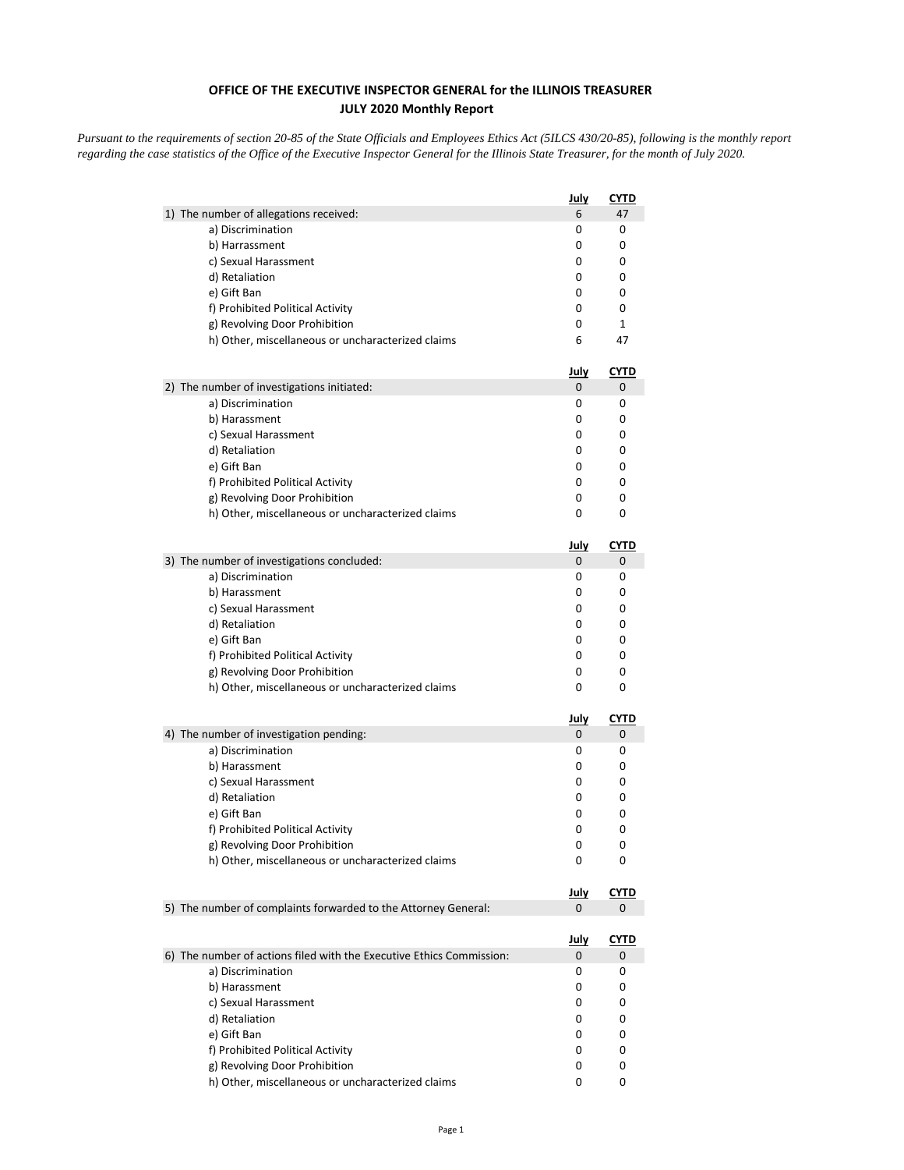## **OFFICE OF THE EXECUTIVE INSPECTOR GENERAL for the ILLINOIS TREASURER JULY 2020 Monthly Report**

*Pursuant to the requirements of section 20-85 of the State Officials and Employees Ethics Act (5ILCS 430/20-85), following is the monthly report regarding the case statistics of the Office of the Executive Inspector General for the Illinois State Treasurer, for the month of July 2020.* 

|                                                                      | <u>July</u>      | CYTD             |
|----------------------------------------------------------------------|------------------|------------------|
| 1) The number of allegations received:                               | 6                | 47               |
| a) Discrimination                                                    | 0                | 0                |
| b) Harrassment                                                       | 0                | 0                |
| c) Sexual Harassment                                                 | 0                | 0                |
| d) Retaliation                                                       | 0                | 0                |
| e) Gift Ban                                                          | 0                | 0                |
| f) Prohibited Political Activity                                     | 0                | 0                |
| g) Revolving Door Prohibition                                        | 0                | $\mathbf{1}$     |
| h) Other, miscellaneous or uncharacterized claims                    | 6                | 47               |
|                                                                      | <u>July</u>      | <u>CYTD</u>      |
| 2) The number of investigations initiated:<br>a) Discrimination      | 0<br>0           | 0<br>0           |
| b) Harassment                                                        | 0                | 0                |
| c) Sexual Harassment                                                 | 0                | 0                |
| d) Retaliation                                                       | 0                | 0                |
| e) Gift Ban                                                          | 0                | 0                |
| f) Prohibited Political Activity                                     | 0                | 0                |
| g) Revolving Door Prohibition                                        | 0                | 0                |
| h) Other, miscellaneous or uncharacterized claims                    | 0                | 0                |
|                                                                      |                  |                  |
| 3) The number of investigations concluded:                           | <u>July</u><br>0 | <b>CYTD</b><br>0 |
| a) Discrimination                                                    | 0                | 0                |
| b) Harassment                                                        | 0                | 0                |
| c) Sexual Harassment                                                 | 0                | 0                |
| d) Retaliation                                                       | 0                | 0                |
| e) Gift Ban                                                          | 0                | 0                |
| f) Prohibited Political Activity                                     | 0                | 0                |
| g) Revolving Door Prohibition                                        | 0                | 0                |
| h) Other, miscellaneous or uncharacterized claims                    | 0                | 0                |
|                                                                      | <u>July</u>      | <b>CYTD</b>      |
| 4) The number of investigation pending:                              | 0                | 0                |
| a) Discrimination                                                    | 0                | 0                |
| b) Harassment                                                        | 0                | 0                |
| c) Sexual Harassment                                                 | 0                | 0                |
| d) Retaliation                                                       | 0                | 0                |
| e) Gift Ban                                                          | 0                | 0                |
| f) Prohibited Political Activity                                     | 0                | 0                |
| g) Revolving Door Prohibition                                        | 0                | 0                |
| h) Other, miscellaneous or uncharacterized claims                    | 0                | 0                |
|                                                                      | <u>July</u>      | <u>CYTD</u>      |
| 5) The number of complaints forwarded to the Attorney General:       | 0                | 0                |
|                                                                      |                  |                  |
| 6) The number of actions filed with the Executive Ethics Commission: | <u>July</u><br>0 | <u>CYTD</u><br>0 |
| a) Discrimination                                                    | 0                | 0                |
| b) Harassment                                                        | 0                | 0                |
| c) Sexual Harassment                                                 | 0                | 0                |
| d) Retaliation                                                       | 0                | 0                |
| e) Gift Ban                                                          | 0                | 0                |
| f) Prohibited Political Activity                                     | 0                | 0                |
| g) Revolving Door Prohibition                                        | 0                | 0                |
| h) Other, miscellaneous or uncharacterized claims                    | 0                | 0                |